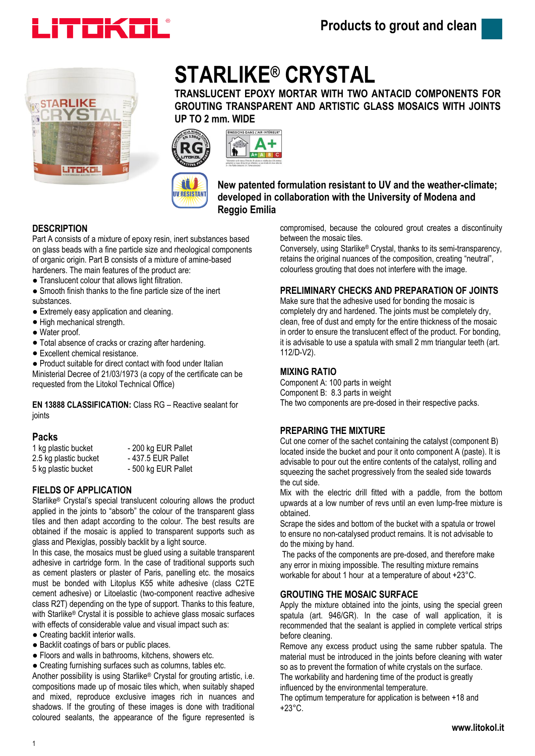



# **STARLIKE® CRYSTAL**

**TRANSLUCENT EPOXY MORTAR WITH TWO ANTACID COMPONENTS FOR GROUTING TRANSPARENT AND ARTISTIC GLASS MOSAICS WITH JOINTS UP TO 2 mm. WIDE**



**New patented formulation resistant to UV and the weather-climate; developed in collaboration with the University of Modena and Reggio Emilia**

# **DESCRIPTION**

Part A consists of a mixture of epoxy resin, inert substances based on glass beads with a fine particle size and rheological components of organic origin. Part B consists of a mixture of amine-based hardeners. The main features of the product are:

11 **WRESISTANT** 

- Translucent colour that allows light filtration.
- Smooth finish thanks to the fine particle size of the inert substances.
- Extremely easy application and cleaning.
- High mechanical strength.
- Water proof.
- Total absence of cracks or crazing after hardening.
- Excellent chemical resistance.

● Product suitable for direct contact with food under Italian Ministerial Decree of 21/03/1973 (a copy of the certificate can be requested from the Litokol Technical Office)

**EN 13888 CLASSIFICATION:** Class RG – Reactive sealant for joints

## **Packs**

| 1 kg plastic bucket   | - 200 kg EUR Pallet |
|-----------------------|---------------------|
| 2.5 kg plastic bucket | - 437.5 EUR Pallet  |
| 5 kg plastic bucket   | - 500 kg EUR Pallet |

## **FIELDS OF APPLICATION**

Starlike® Crystal's special translucent colouring allows the product applied in the joints to "absorb" the colour of the transparent glass tiles and then adapt according to the colour. The best results are obtained if the mosaic is applied to transparent supports such as glass and Plexiglas, possibly backlit by a light source.

In this case, the mosaics must be glued using a suitable transparent adhesive in cartridge form. In the case of traditional supports such as cement plasters or plaster of Paris, panelling etc. the mosaics must be bonded with Litoplus K55 white adhesive (class C2TE cement adhesive) or Litoelastic (two-component reactive adhesive class R2T) depending on the type of support. Thanks to this feature, with Starlike® Crystal it is possible to achieve glass mosaic surfaces with effects of considerable value and visual impact such as:

- Creating backlit interior walls.
- Backlit coatings of bars or public places.
- Floors and walls in bathrooms, kitchens, showers etc.
- Creating furnishing surfaces such as columns, tables etc.

Another possibility is using Starlike® Crystal for grouting artistic, i.e. compositions made up of mosaic tiles which, when suitably shaped and mixed, reproduce exclusive images rich in nuances and shadows. If the grouting of these images is done with traditional coloured sealants, the appearance of the figure represented is

compromised, because the coloured grout creates a discontinuity between the mosaic tiles.

Conversely, using Starlike® Crystal, thanks to its semi-transparency, retains the original nuances of the composition, creating "neutral", colourless grouting that does not interfere with the image.

# **PRELIMINARY CHECKS AND PREPARATION OF JOINTS**

Make sure that the adhesive used for bonding the mosaic is completely dry and hardened. The joints must be completely dry, clean, free of dust and empty for the entire thickness of the mosaic in order to ensure the translucent effect of the product. For bonding, it is advisable to use a spatula with small 2 mm triangular teeth (art. 112/D-V2).

## **MIXING RATIO**

Component A: 100 parts in weight Component B: 8.3 parts in weight The two components are pre-dosed in their respective packs.

## **PREPARING THE MIXTURE**

Cut one corner of the sachet containing the catalyst (component B) located inside the bucket and pour it onto component A (paste). It is advisable to pour out the entire contents of the catalyst, rolling and squeezing the sachet progressively from the sealed side towards the cut side.

Mix with the electric drill fitted with a paddle, from the bottom upwards at a low number of revs until an even lump-free mixture is obtained.

Scrape the sides and bottom of the bucket with a spatula or trowel to ensure no non-catalysed product remains. It is not advisable to do the mixing by hand.

The packs of the components are pre-dosed, and therefore make any error in mixing impossible. The resulting mixture remains workable for about 1 hour at a temperature of about +23°C.

## **GROUTING THE MOSAIC SURFACE**

Apply the mixture obtained into the joints, using the special green spatula (art. 946/GR). In the case of wall application, it is recommended that the sealant is applied in complete vertical strips before cleaning.

Remove any excess product using the same rubber spatula. The material must be introduced in the joints before cleaning with water so as to prevent the formation of white crystals on the surface.

The workability and hardening time of the product is greatly

influenced by the environmental temperature.

The optimum temperature for application is between +18 and +23°C.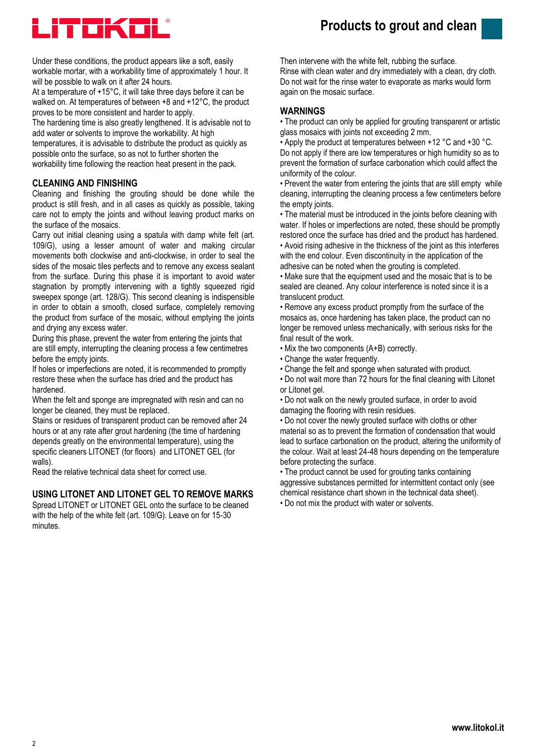



Under these conditions, the product appears like a soft, easily workable mortar, with a workability time of approximately 1 hour. It will be possible to walk on it after 24 hours.

At a temperature of +15°C, it will take three days before it can be walked on. At temperatures of between +8 and +12°C, the product proves to be more consistent and harder to apply.

The hardening time is also greatly lengthened. It is advisable not to add water or solvents to improve the workability. At high

temperatures, it is advisable to distribute the product as quickly as possible onto the surface, so as not to further shorten the workability time following the reaction heat present in the pack.

#### **CLEANING AND FINISHING**

Cleaning and finishing the grouting should be done while the product is still fresh, and in all cases as quickly as possible, taking care not to empty the joints and without leaving product marks on the surface of the mosaics.

Carry out initial cleaning using a spatula with damp white felt (art. 109/G), using a lesser amount of water and making circular movements both clockwise and anti-clockwise, in order to seal the sides of the mosaic tiles perfects and to remove any excess sealant from the surface. During this phase it is important to avoid water stagnation by promptly intervening with a tightly squeezed rigid sweepex sponge (art. 128/G). This second cleaning is indispensible in order to obtain a smooth, closed surface, completely removing the product from surface of the mosaic, without emptying the joints and drying any excess water.

During this phase, prevent the water from entering the joints that are still empty, interrupting the cleaning process a few centimetres before the empty joints.

If holes or imperfections are noted, it is recommended to promptly restore these when the surface has dried and the product has hardened.

When the felt and sponge are impregnated with resin and can no longer be cleaned, they must be replaced.

Stains or residues of transparent product can be removed after 24 hours or at any rate after grout hardening (the time of hardening depends greatly on the environmental temperature), using the specific cleaners LITONET (for floors) and LITONET GEL (for walls).

Read the relative technical data sheet for correct use.

#### **USING LITONET AND LITONET GEL TO REMOVE MARKS**

Spread LITONET or LITONET GEL onto the surface to be cleaned with the help of the white felt (art. 109/G). Leave on for 15-30 minutes.

Then intervene with the white felt, rubbing the surface. Rinse with clean water and dry immediately with a clean, dry cloth. Do not wait for the rinse water to evaporate as marks would form again on the mosaic surface.

#### **WARNINGS**

• The product can only be applied for grouting transparent or artistic glass mosaics with joints not exceeding 2 mm.

• Apply the product at temperatures between +12 °C and +30 °C. Do not apply if there are low temperatures or high humidity so as to prevent the formation of surface carbonation which could affect the uniformity of the colour.

• Prevent the water from entering the joints that are still empty while cleaning, interrupting the cleaning process a few centimeters before the empty joints.

• The material must be introduced in the joints before cleaning with water. If holes or imperfections are noted, these should be promptly restored once the surface has dried and the product has hardened.

• Avoid rising adhesive in the thickness of the joint as this interferes with the end colour. Even discontinuity in the application of the adhesive can be noted when the grouting is completed.

• Make sure that the equipment used and the mosaic that is to be sealed are cleaned. Any colour interference is noted since it is a translucent product.

• Remove any excess product promptly from the surface of the mosaics as, once hardening has taken place, the product can no longer be removed unless mechanically, with serious risks for the final result of the work.

- Mix the two components (A+B) correctly.
- Change the water frequently.
- Change the felt and sponge when saturated with product.

• Do not wait more than 72 hours for the final cleaning with Litonet or Litonet gel.

• Do not walk on the newly grouted surface, in order to avoid damaging the flooring with resin residues.

• Do not cover the newly grouted surface with cloths or other material so as to prevent the formation of condensation that would lead to surface carbonation on the product, altering the uniformity of the colour. Wait at least 24-48 hours depending on the temperature before protecting the surface.

• The product cannot be used for grouting tanks containing aggressive substances permitted for intermittent contact only (see chemical resistance chart shown in the technical data sheet). • Do not mix the product with water or solvents.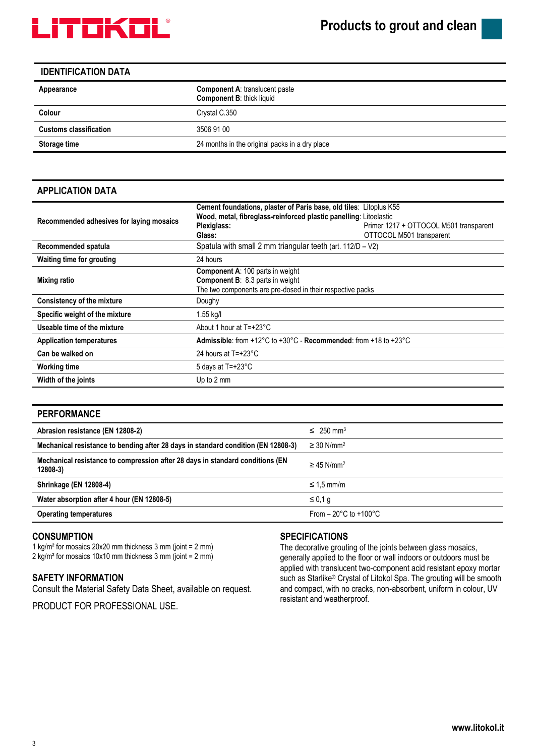

#### **IDENTIFICATION DATA**

| <b>Component A: translucent paste</b><br><b>Component B: thick liquid</b> |  |
|---------------------------------------------------------------------------|--|
| Crystal C.350                                                             |  |
| 3506 91 00                                                                |  |
| 24 months in the original packs in a dry place                            |  |
|                                                                           |  |

## **APPLICATION DATA**

| Recommended adhesives for laying mosaics | Cement foundations, plaster of Paris base, old tiles: Litoplus K55<br>Wood, metal, fibreglass-reinforced plastic panelling: Litoelastic<br>Plexiglass:<br>Glass: | Primer 1217 + OTTOCOL M501 transparent<br>OTTOCOL M501 transparent |  |  |  |
|------------------------------------------|------------------------------------------------------------------------------------------------------------------------------------------------------------------|--------------------------------------------------------------------|--|--|--|
| Recommended spatula                      | Spatula with small 2 mm triangular teeth (art. 112/D - V2)                                                                                                       |                                                                    |  |  |  |
| Waiting time for grouting                | 24 hours                                                                                                                                                         |                                                                    |  |  |  |
| Mixing ratio                             | <b>Component A: 100 parts in weight</b><br><b>Component B:</b> 8.3 parts in weight<br>The two components are pre-dosed in their respective packs                 |                                                                    |  |  |  |
| <b>Consistency of the mixture</b>        | Doughy                                                                                                                                                           |                                                                    |  |  |  |
| Specific weight of the mixture           | 1.55 kg/l                                                                                                                                                        |                                                                    |  |  |  |
| Useable time of the mixture              | About 1 hour at $T = +23^{\circ}C$                                                                                                                               |                                                                    |  |  |  |
| <b>Application temperatures</b>          | Admissible: from +12°C to +30°C - Recommended: from +18 to +23°C                                                                                                 |                                                                    |  |  |  |
| Can be walked on                         | 24 hours at T=+23°C                                                                                                                                              |                                                                    |  |  |  |
| <b>Working time</b>                      | 5 days at $T = +23^{\circ}C$                                                                                                                                     |                                                                    |  |  |  |
| Width of the joints                      | Up to 2 mm                                                                                                                                                       |                                                                    |  |  |  |

#### **PERFORMANCE**

| Abrasion resistance (EN 12808-2)                                                           | $\leq 250$ mm <sup>3</sup>               |
|--------------------------------------------------------------------------------------------|------------------------------------------|
| Mechanical resistance to bending after 28 days in standard condition (EN 12808-3)          | $\geq$ 30 N/mm <sup>2</sup>              |
| Mechanical resistance to compression after 28 days in standard conditions (EN<br>$12808-3$ | $\geq$ 45 N/mm <sup>2</sup>              |
| <b>Shrinkage (EN 12808-4)</b>                                                              | $\leq 1.5$ mm/m                          |
| Water absorption after 4 hour (EN 12808-5)                                                 | ≤ 0.1 q                                  |
| <b>Operating temperatures</b>                                                              | From $-20^{\circ}$ C to $+100^{\circ}$ C |

#### **CONSUMPTION**

1 kg/m² for mosaics 20x20 mm thickness 3 mm (joint = 2 mm) 2 kg/m² for mosaics 10x10 mm thickness 3 mm (joint = 2 mm)

#### **SAFETY INFORMATION**

Consult the Material Safety Data Sheet, available on request.

PRODUCT FOR PROFESSIONAL USE.

# **SPECIFICATIONS**

The decorative grouting of the joints between glass mosaics, generally applied to the floor or wall indoors or outdoors must be applied with translucent two-component acid resistant epoxy mortar such as Starlike® Crystal of Litokol Spa. The grouting will be smooth and compact, with no cracks, non-absorbent, uniform in colour, UV resistant and weatherproof.